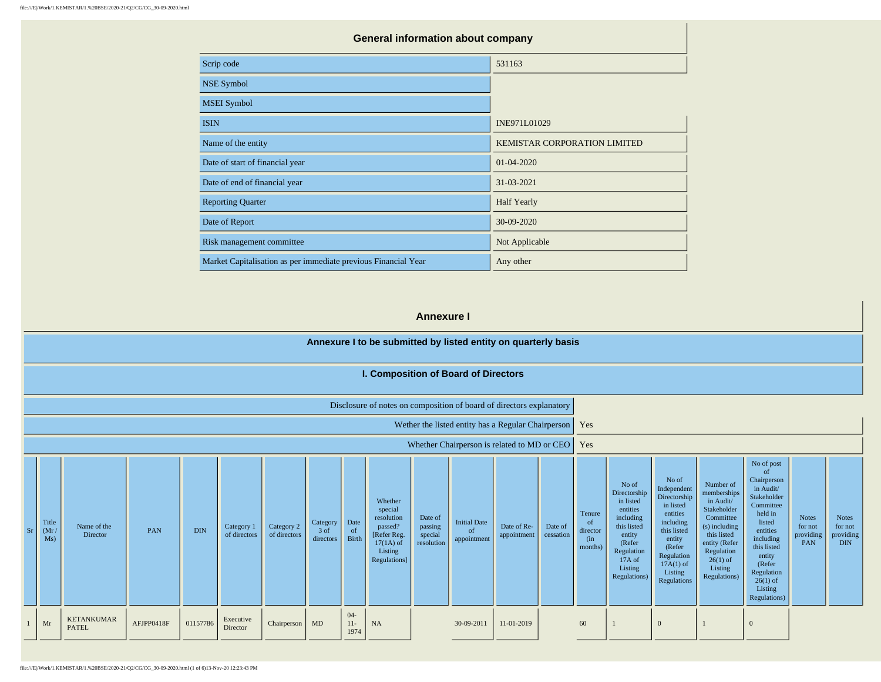| <b>General information about company</b>                       |                              |
|----------------------------------------------------------------|------------------------------|
| Scrip code                                                     | 531163                       |
| <b>NSE Symbol</b>                                              |                              |
| <b>MSEI</b> Symbol                                             |                              |
| <b>ISIN</b>                                                    | INE971L01029                 |
| Name of the entity                                             | KEMISTAR CORPORATION LIMITED |
| Date of start of financial year                                | $01 - 04 - 2020$             |
| Date of end of financial year                                  | 31-03-2021                   |
| <b>Reporting Quarter</b>                                       | <b>Half Yearly</b>           |
| Date of Report                                                 | 30-09-2020                   |
| Risk management committee                                      | Not Applicable               |
| Market Capitalisation as per immediate previous Financial Year | Any other                    |

### **Annexure I**

# **Annexure I to be submitted by listed entity on quarterly basis**

| I. Composition of Board of Directors |  |
|--------------------------------------|--|
|--------------------------------------|--|

| Disclosure of notes on composition of board of directors explanatory |  |  |  |  |  |  |  |  |
|----------------------------------------------------------------------|--|--|--|--|--|--|--|--|
|----------------------------------------------------------------------|--|--|--|--|--|--|--|--|

Wether the listed entity has a Regular Chairperson Yes

Whether Chairperson is related to MD or CEO  $\overline{\phantom{a}}$  Yes

| Sr | Title<br>(Mr / Ms) | Name of the<br>Director           | PAN        | <b>DIN</b> | Category 1<br>of directors | Category 2<br>of directors | Category<br>3 of<br>directors | Date<br>of<br>Birth    | Whether<br>special<br>resolution<br>passed?<br>[Refer Reg.<br>$17(1A)$ of<br>Listing<br>Regulations] | Date of<br>passing<br>special<br>resolution | <b>Initial Date</b><br>- of<br>appointment | Date of Re-<br>appointment | Date of<br>cessation | Tenure<br>of<br>director<br>(in<br>months) | No of<br>Directorship<br>in listed<br>entities<br>including<br>this listed<br>entity<br>(Refer<br>Regulation<br>17A of<br>Listing<br>Regulations) | No of<br>Independent<br>Directorship<br>in listed<br>entities<br>including<br>this listed<br>entity<br>(Refer<br>Regulation<br>$17A(1)$ of<br>Listing<br>Regulations | Number of<br>memberships<br>in Audit/<br>Stakeholder<br>Committee<br>$(s)$ including<br>this listed<br>entity (Refer<br>Regulation<br>$26(1)$ of<br>Listing<br>Regulations) | No of post<br><sub>of</sub><br>Chairperson<br>in Audit/<br>Stakeholder<br>Committee<br>held in<br>listed<br>entities<br>including<br>this listed<br>entity<br>(Refer<br>Regulation<br>$26(1)$ of<br>Listing<br>Regulations) | <b>Notes</b><br>for not<br>providing<br>PAN | <b>Notes</b><br>for not<br>providing<br><b>DIN</b> |
|----|--------------------|-----------------------------------|------------|------------|----------------------------|----------------------------|-------------------------------|------------------------|------------------------------------------------------------------------------------------------------|---------------------------------------------|--------------------------------------------|----------------------------|----------------------|--------------------------------------------|---------------------------------------------------------------------------------------------------------------------------------------------------|----------------------------------------------------------------------------------------------------------------------------------------------------------------------|-----------------------------------------------------------------------------------------------------------------------------------------------------------------------------|-----------------------------------------------------------------------------------------------------------------------------------------------------------------------------------------------------------------------------|---------------------------------------------|----------------------------------------------------|
|    | Mr                 | <b>KETANKUMAR</b><br><b>PATEL</b> | AFJPP0418F | 01157786   | Executive<br>Director      | Chairperson                | MD                            | $04-$<br>$11-$<br>1974 | NA                                                                                                   |                                             | 30-09-2011                                 | 11-01-2019                 |                      | 60                                         |                                                                                                                                                   | $\overline{0}$                                                                                                                                                       |                                                                                                                                                                             | $\mathbf{0}$                                                                                                                                                                                                                |                                             |                                                    |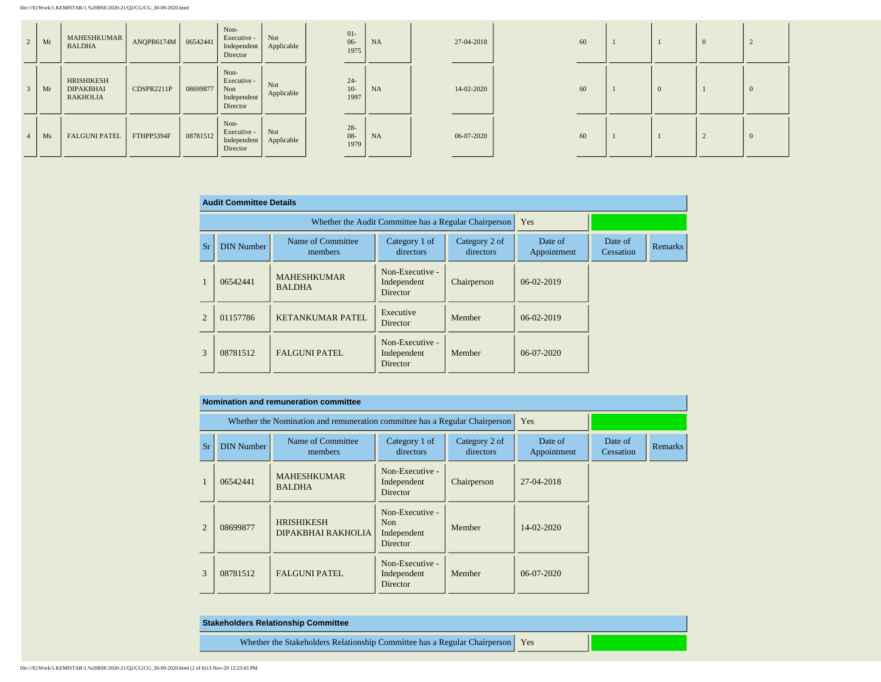| 2 | Mr | MAHESHKUMAR<br><b>BALDHA</b>                      | ANQPB6174M   06542441 |          | Non-<br>Executive -<br>Independent<br>Director        | Not<br>Applicable | $01-$<br>$06 -$<br>1975 | NA        | 27-04-2018 | 60 |  | $\Omega$ |          |
|---|----|---------------------------------------------------|-----------------------|----------|-------------------------------------------------------|-------------------|-------------------------|-----------|------------|----|--|----------|----------|
|   | Mr | HRISHIKESH<br><b>DIPAKBHAI</b><br><b>RAKHOLIA</b> | CDSPR2211P            | 08699877 | Non-<br>Executive -<br>Non<br>Independent<br>Director | Not<br>Applicable | $24 -$<br>$10-$<br>1997 | <b>NA</b> | 14-02-2020 | 60 |  |          | $\theta$ |
|   | Ms | <b>FALGUNI PATEL</b>                              | FTHPP5394F            | 08781512 | Non-<br>Executive -<br>Independent<br>Director        | Not<br>Applicable | $28 -$<br>$08-$<br>1979 | NA        | 06-07-2020 | 60 |  |          | $\Omega$ |

|           | <b>Audit Committee Details</b> |                                     |                                                       |                            |                        |                      |         |
|-----------|--------------------------------|-------------------------------------|-------------------------------------------------------|----------------------------|------------------------|----------------------|---------|
|           |                                |                                     | Whether the Audit Committee has a Regular Chairperson | Yes                        |                        |                      |         |
| <b>Sr</b> | <b>DIN Number</b>              | Name of Committee<br>members        | Category 1 of<br>directors                            | Category 2 of<br>directors | Date of<br>Appointment | Date of<br>Cessation | Remarks |
|           | 06542441                       | <b>MAHESHKUMAR</b><br><b>BALDHA</b> | Non-Executive -<br>Independent<br>Director            | Chairperson                | 06-02-2019             |                      |         |
| 2         | 01157786                       | <b>KETANKUMAR PATEL</b>             | Executive<br>Director                                 | Member                     | 06-02-2019             |                      |         |
| 3         | 08781512                       | <b>FALGUNI PATEL</b>                | Non-Executive -<br>Independent<br>Director            | Member                     | $06-07-2020$           |                      |         |

|                |                   | Nomination and remuneration committee                                       |                                                   |                            |                        |                      |                |
|----------------|-------------------|-----------------------------------------------------------------------------|---------------------------------------------------|----------------------------|------------------------|----------------------|----------------|
|                |                   | Whether the Nomination and remuneration committee has a Regular Chairperson |                                                   | Yes                        |                        |                      |                |
| Sr             | <b>DIN Number</b> | Name of Committee<br>members                                                | Category 1 of<br>directors                        | Category 2 of<br>directors | Date of<br>Appointment | Date of<br>Cessation | <b>Remarks</b> |
| $\mathbf{I}$   | 06542441          | <b>MAHESHKUMAR</b><br><b>BALDHA</b>                                         | Non-Executive -<br>Independent<br>Director        | Chairperson                | 27-04-2018             |                      |                |
| $\overline{2}$ | 08699877          | <b>HRISHIKESH</b><br>DIPAKBHAI RAKHOLIA                                     | Non-Executive -<br>Non<br>Independent<br>Director | Member                     | $14 - 02 - 2020$       |                      |                |
| 3              | 08781512          | <b>FALGUNI PATEL</b>                                                        | Non-Executive -<br>Independent<br><b>Director</b> | Member                     | 06-07-2020             |                      |                |

| <b>Stakeholders Relationship Committee</b>                                      |  |
|---------------------------------------------------------------------------------|--|
| Whether the Stakeholders Relationship Committee has a Regular Chairperson   Yes |  |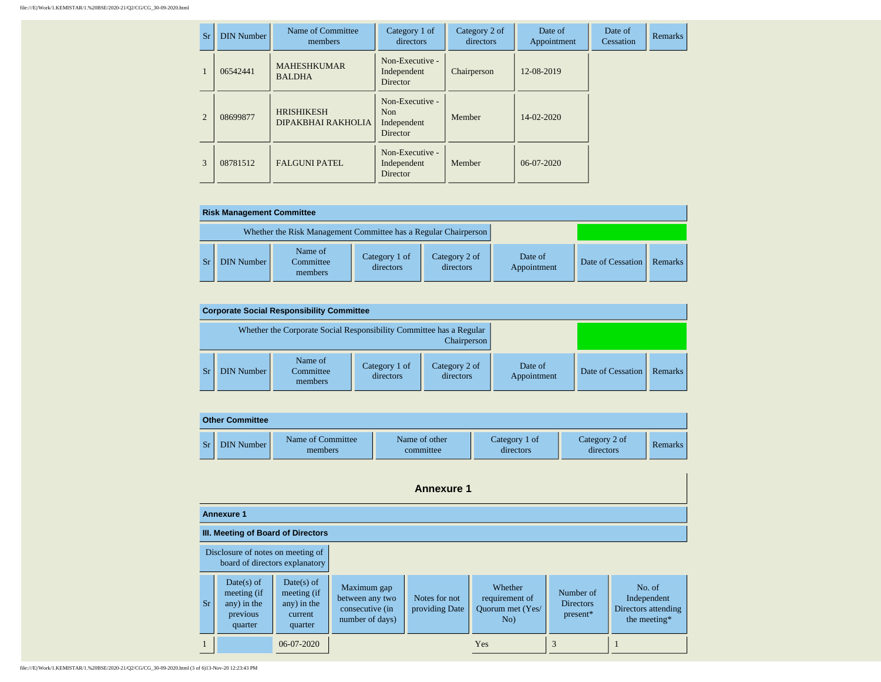| Sr             | <b>DIN Number</b> | Name of Committee<br>members            | Category 1 of<br>directors                        | Category 2 of<br>directors | Date of<br>Appointment | Date of<br>Cessation | <b>Remarks</b> |
|----------------|-------------------|-----------------------------------------|---------------------------------------------------|----------------------------|------------------------|----------------------|----------------|
|                | 06542441          | <b>MAHESHKUMAR</b><br><b>BALDHA</b>     | Non-Executive -<br>Independent<br>Director        | Chairperson                | 12-08-2019             |                      |                |
| $\mathfrak{D}$ | 08699877          | <b>HRISHIKESH</b><br>DIPAKBHAI RAKHOLIA | Non-Executive -<br>Non<br>Independent<br>Director | Member                     | 14-02-2020             |                      |                |
| 3              | 08781512          | <b>FALGUNI PATEL</b>                    | Non-Executive -<br>Independent<br>Director        | Member                     | $06-07-2020$           |                      |                |

| <b>Risk Management Committee</b>                                |                                 |                            |                            |                        |                   |         |  |  |  |  |
|-----------------------------------------------------------------|---------------------------------|----------------------------|----------------------------|------------------------|-------------------|---------|--|--|--|--|
| Whether the Risk Management Committee has a Regular Chairperson |                                 |                            |                            |                        |                   |         |  |  |  |  |
| <b>DIN Number</b>                                               | Name of<br>Committee<br>members | Category 1 of<br>directors | Category 2 of<br>directors | Date of<br>Appointment | Date of Cessation | Remarks |  |  |  |  |

|                                                                                    | <b>Corporate Social Responsibility Committee</b> |                            |                            |                        |                   |         |  |  |  |
|------------------------------------------------------------------------------------|--------------------------------------------------|----------------------------|----------------------------|------------------------|-------------------|---------|--|--|--|
| Whether the Corporate Social Responsibility Committee has a Regular<br>Chairperson |                                                  |                            |                            |                        |                   |         |  |  |  |
| <b>DIN Number</b>                                                                  | Name of<br>Committee<br>members                  | Category 1 of<br>directors | Category 2 of<br>directors | Date of<br>Appointment | Date of Cessation | Remarks |  |  |  |

|           | <b>Other Committee</b> |                              |                            |                            |                            |         |
|-----------|------------------------|------------------------------|----------------------------|----------------------------|----------------------------|---------|
| <b>Sr</b> | DIN Number             | Name of Committee<br>members | Name of other<br>committee | Category 1 of<br>directors | Category 2 of<br>directors | Remarks |

|                                                                     | <b>Annexure 1</b>                                                 |                                                                  |                                                                      |                                 |                                                      |                                           |                                                              |
|---------------------------------------------------------------------|-------------------------------------------------------------------|------------------------------------------------------------------|----------------------------------------------------------------------|---------------------------------|------------------------------------------------------|-------------------------------------------|--------------------------------------------------------------|
|                                                                     | <b>Annexure 1</b>                                                 |                                                                  |                                                                      |                                 |                                                      |                                           |                                                              |
|                                                                     | III. Meeting of Board of Directors                                |                                                                  |                                                                      |                                 |                                                      |                                           |                                                              |
| Disclosure of notes on meeting of<br>board of directors explanatory |                                                                   |                                                                  |                                                                      |                                 |                                                      |                                           |                                                              |
| Sr.                                                                 | $Date(s)$ of<br>meeting (if<br>any) in the<br>previous<br>quarter | $Date(s)$ of<br>meeting (if<br>any) in the<br>current<br>quarter | Maximum gap<br>between any two<br>consecutive (in<br>number of days) | Notes for not<br>providing Date | Whether<br>requirement of<br>Ouorum met (Yes/<br>No) | Number of<br><b>Directors</b><br>present* | No. of<br>Independent<br>Directors attending<br>the meeting* |
| $\mathbf{1}$                                                        |                                                                   | 06-07-2020                                                       |                                                                      |                                 | Yes                                                  | 3                                         |                                                              |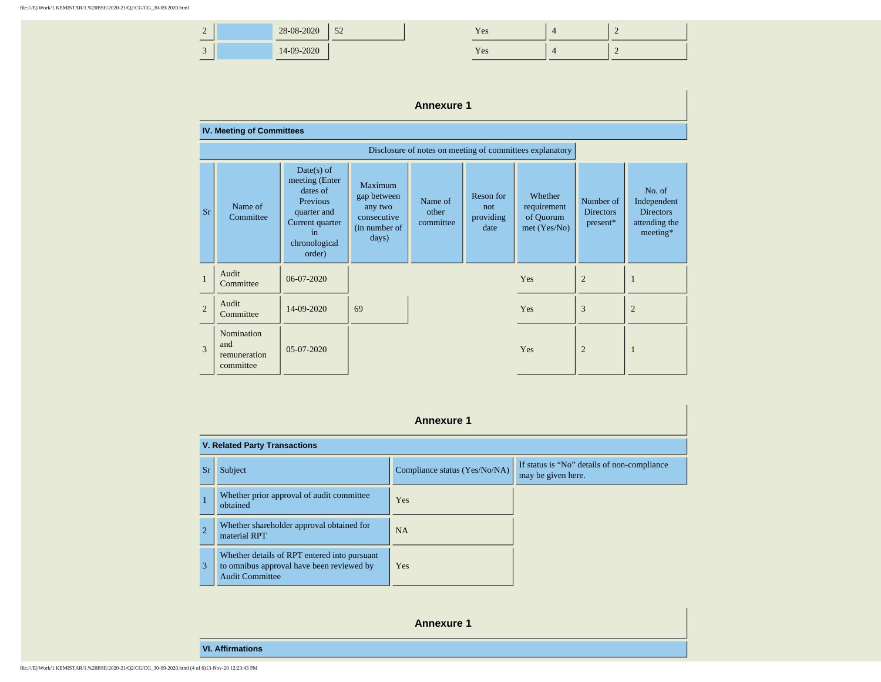| $\sim$<br>$\overline{\phantom{0}}$ | 28-08-2020 | $\epsilon$<br>ے ر | <b>TT</b><br><b>Yes</b> |  |
|------------------------------------|------------|-------------------|-------------------------|--|
| $\sim$<br>◡                        | 14-09-2020 |                   | <b>TT</b><br><b>Yes</b> |  |

## **Annexure 1**

|                | <b>IV. Meeting of Committees</b>                         |                                                                                                                                  |                                                                            |                               |                                       |                                                       |                                           |                                                                        |
|----------------|----------------------------------------------------------|----------------------------------------------------------------------------------------------------------------------------------|----------------------------------------------------------------------------|-------------------------------|---------------------------------------|-------------------------------------------------------|-------------------------------------------|------------------------------------------------------------------------|
|                | Disclosure of notes on meeting of committees explanatory |                                                                                                                                  |                                                                            |                               |                                       |                                                       |                                           |                                                                        |
| <b>Sr</b>      | Name of<br>Committee                                     | $Date(s)$ of<br>meeting (Enter<br>dates of<br><b>Previous</b><br>quarter and<br>Current quarter<br>in<br>chronological<br>order) | Maximum<br>gap between<br>any two<br>consecutive<br>(in number of<br>days) | Name of<br>other<br>committee | Reson for<br>not<br>providing<br>date | Whether<br>requirement<br>of Quorum<br>$met$ (Yes/No) | Number of<br><b>Directors</b><br>present* | No. of<br>Independent<br><b>Directors</b><br>attending the<br>meeting* |
| $\mathbf{1}$   | Audit<br>Committee                                       | 06-07-2020                                                                                                                       |                                                                            |                               |                                       | Yes                                                   | $\overline{2}$                            | -1                                                                     |
| $\overline{2}$ | Audit<br>Committee                                       | 14-09-2020                                                                                                                       | 69                                                                         |                               |                                       | Yes                                                   | 3                                         | $\overline{2}$                                                         |
| $\mathcal{R}$  | Nomination<br>and<br>remuneration<br>committee           | 05-07-2020                                                                                                                       |                                                                            |                               |                                       | Yes                                                   | $\overline{2}$                            | -1                                                                     |

|                | <b>Annexure 1</b>                                                                                                   |                               |                                                                   |  |  |  |  |  |
|----------------|---------------------------------------------------------------------------------------------------------------------|-------------------------------|-------------------------------------------------------------------|--|--|--|--|--|
|                | <b>V. Related Party Transactions</b>                                                                                |                               |                                                                   |  |  |  |  |  |
| Sr             | Subject                                                                                                             | Compliance status (Yes/No/NA) | If status is "No" details of non-compliance<br>may be given here. |  |  |  |  |  |
| $\mathbf{1}$   | Whether prior approval of audit committee<br>obtained                                                               | Yes                           |                                                                   |  |  |  |  |  |
| $\overline{2}$ | Whether shareholder approval obtained for<br>material RPT                                                           | <b>NA</b>                     |                                                                   |  |  |  |  |  |
| 3              | Whether details of RPT entered into pursuant<br>to omnibus approval have been reviewed by<br><b>Audit Committee</b> | Yes                           |                                                                   |  |  |  |  |  |

**Annexure 1**

**VI. Affirmations**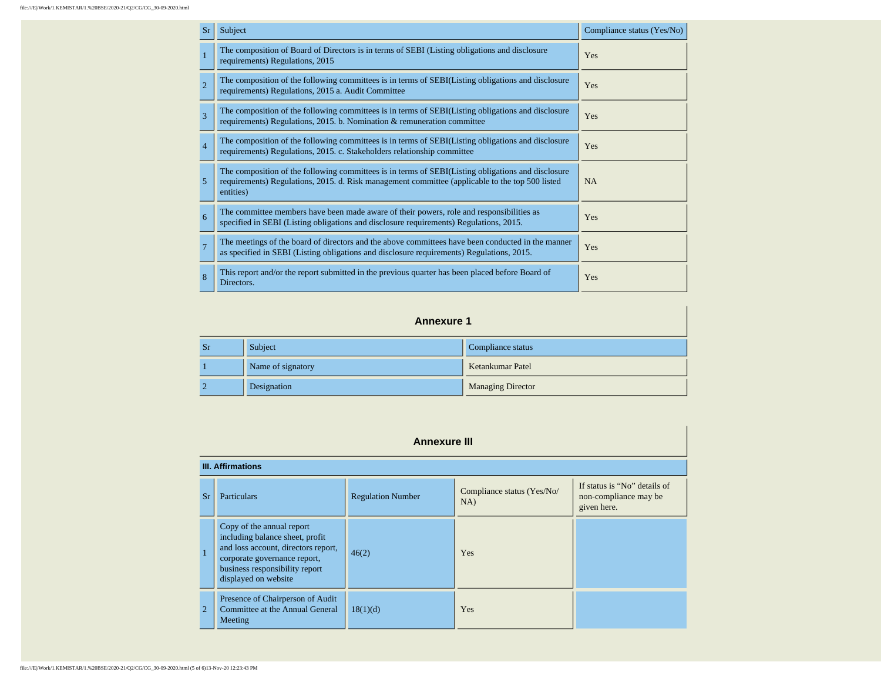| <b>Sr</b>      | Subject                                                                                                                                                                                                            | Compliance status (Yes/No) |
|----------------|--------------------------------------------------------------------------------------------------------------------------------------------------------------------------------------------------------------------|----------------------------|
| $\overline{1}$ | The composition of Board of Directors is in terms of SEBI (Listing obligations and disclosure<br>requirements) Regulations, 2015                                                                                   | Yes                        |
| $\overline{2}$ | The composition of the following committees is in terms of SEBI(Listing obligations and disclosure<br>requirements) Regulations, 2015 a. Audit Committee                                                           | Yes                        |
| 3              | The composition of the following committees is in terms of SEBI(Listing obligations and disclosure<br>requirements) Regulations, 2015. b. Nomination & remuneration committee                                      | Yes                        |
| $\overline{4}$ | The composition of the following committees is in terms of SEBI(Listing obligations and disclosure<br>requirements) Regulations, 2015. c. Stakeholders relationship committee                                      | Yes                        |
| 5              | The composition of the following committees is in terms of SEBI(Listing obligations and disclosure<br>requirements) Regulations, 2015. d. Risk management committee (applicable to the top 500 listed<br>entities) | <b>NA</b>                  |
| 6              | The committee members have been made aware of their powers, role and responsibilities as<br>specified in SEBI (Listing obligations and disclosure requirements) Regulations, 2015.                                 | Yes                        |
| $\overline{7}$ | The meetings of the board of directors and the above committees have been conducted in the manner<br>as specified in SEBI (Listing obligations and disclosure requirements) Regulations, 2015.                     | Yes                        |
| 8              | This report and/or the report submitted in the previous quarter has been placed before Board of<br>Directors.                                                                                                      | Yes                        |

#### **Annexure 1**

| <b>Sr</b> | Subject           | Compliance status        |
|-----------|-------------------|--------------------------|
|           | Name of signatory | Ketankumar Patel         |
|           | Designation       | <b>Managing Director</b> |

| <b>Annexure III</b> |                                                                                                                                                                                               |                          |                                   |                                                                      |  |  |  |
|---------------------|-----------------------------------------------------------------------------------------------------------------------------------------------------------------------------------------------|--------------------------|-----------------------------------|----------------------------------------------------------------------|--|--|--|
|                     | <b>III. Affirmations</b>                                                                                                                                                                      |                          |                                   |                                                                      |  |  |  |
| Sr                  | <b>Particulars</b>                                                                                                                                                                            | <b>Regulation Number</b> | Compliance status (Yes/No/<br>NA) | If status is "No" details of<br>non-compliance may be<br>given here. |  |  |  |
| $\mathbf{1}$        | Copy of the annual report<br>including balance sheet, profit<br>and loss account, directors report,<br>corporate governance report,<br>business responsibility report<br>displayed on website | 46(2)                    | <b>Yes</b>                        |                                                                      |  |  |  |
| 2                   | Presence of Chairperson of Audit<br>Committee at the Annual General<br>Meeting                                                                                                                | 18(1)(d)                 | Yes                               |                                                                      |  |  |  |